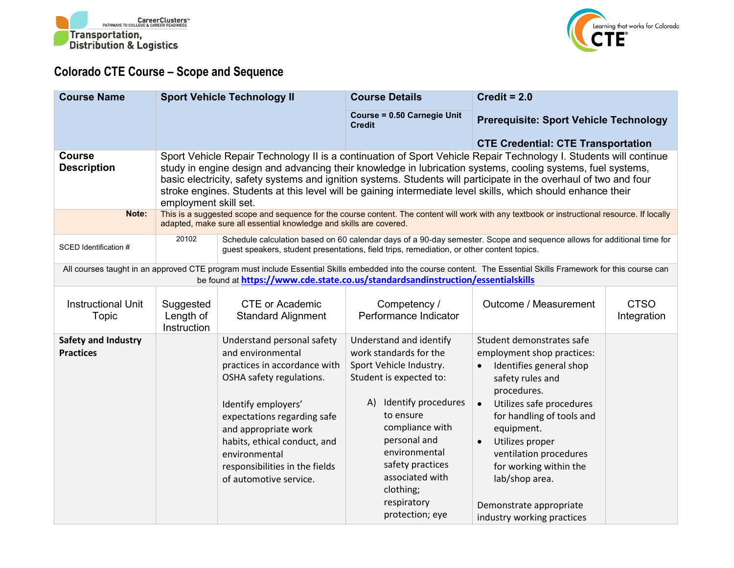



## **Colorado CTE Course – Scope and Sequence**

| <b>Course Name</b>                                                                                                                                                                                                                                  | <b>Sport Vehicle Technology II</b>                                                                                                                                                                                                                                                                                                                                                                                                                                                             |                                                                                                                                                                                                                                                                                                        | <b>Course Details</b>                                                                                                                                                                                                                                                                        | Credit = $2.0$                                                                                                                                                                                                                                                                                                                                                           |                            |  |
|-----------------------------------------------------------------------------------------------------------------------------------------------------------------------------------------------------------------------------------------------------|------------------------------------------------------------------------------------------------------------------------------------------------------------------------------------------------------------------------------------------------------------------------------------------------------------------------------------------------------------------------------------------------------------------------------------------------------------------------------------------------|--------------------------------------------------------------------------------------------------------------------------------------------------------------------------------------------------------------------------------------------------------------------------------------------------------|----------------------------------------------------------------------------------------------------------------------------------------------------------------------------------------------------------------------------------------------------------------------------------------------|--------------------------------------------------------------------------------------------------------------------------------------------------------------------------------------------------------------------------------------------------------------------------------------------------------------------------------------------------------------------------|----------------------------|--|
|                                                                                                                                                                                                                                                     |                                                                                                                                                                                                                                                                                                                                                                                                                                                                                                |                                                                                                                                                                                                                                                                                                        | Course = 0.50 Carnegie Unit<br><b>Credit</b>                                                                                                                                                                                                                                                 | <b>Prerequisite: Sport Vehicle Technology</b>                                                                                                                                                                                                                                                                                                                            |                            |  |
|                                                                                                                                                                                                                                                     |                                                                                                                                                                                                                                                                                                                                                                                                                                                                                                |                                                                                                                                                                                                                                                                                                        |                                                                                                                                                                                                                                                                                              | <b>CTE Credential: CTE Transportation</b>                                                                                                                                                                                                                                                                                                                                |                            |  |
| <b>Course</b><br><b>Description</b>                                                                                                                                                                                                                 | Sport Vehicle Repair Technology II is a continuation of Sport Vehicle Repair Technology I. Students will continue<br>study in engine design and advancing their knowledge in lubrication systems, cooling systems, fuel systems,<br>basic electricity, safety systems and ignition systems. Students will participate in the overhaul of two and four<br>stroke engines. Students at this level will be gaining intermediate level skills, which should enhance their<br>employment skill set. |                                                                                                                                                                                                                                                                                                        |                                                                                                                                                                                                                                                                                              |                                                                                                                                                                                                                                                                                                                                                                          |                            |  |
| Note:                                                                                                                                                                                                                                               | This is a suggested scope and sequence for the course content. The content will work with any textbook or instructional resource. If locally<br>adapted, make sure all essential knowledge and skills are covered.                                                                                                                                                                                                                                                                             |                                                                                                                                                                                                                                                                                                        |                                                                                                                                                                                                                                                                                              |                                                                                                                                                                                                                                                                                                                                                                          |                            |  |
| SCED Identification #                                                                                                                                                                                                                               | 20102<br>Schedule calculation based on 60 calendar days of a 90-day semester. Scope and sequence allows for additional time for<br>guest speakers, student presentations, field trips, remediation, or other content topics.                                                                                                                                                                                                                                                                   |                                                                                                                                                                                                                                                                                                        |                                                                                                                                                                                                                                                                                              |                                                                                                                                                                                                                                                                                                                                                                          |                            |  |
| All courses taught in an approved CTE program must include Essential Skills embedded into the course content. The Essential Skills Framework for this course can<br>be found at https://www.cde.state.co.us/standardsandinstruction/essentialskills |                                                                                                                                                                                                                                                                                                                                                                                                                                                                                                |                                                                                                                                                                                                                                                                                                        |                                                                                                                                                                                                                                                                                              |                                                                                                                                                                                                                                                                                                                                                                          |                            |  |
| <b>Instructional Unit</b><br>Topic                                                                                                                                                                                                                  | Suggested<br>Length of<br>Instruction                                                                                                                                                                                                                                                                                                                                                                                                                                                          | <b>CTE or Academic</b><br><b>Standard Alignment</b>                                                                                                                                                                                                                                                    | Competency /<br>Performance Indicator                                                                                                                                                                                                                                                        | Outcome / Measurement                                                                                                                                                                                                                                                                                                                                                    | <b>CTSO</b><br>Integration |  |
| <b>Safety and Industry</b><br><b>Practices</b>                                                                                                                                                                                                      |                                                                                                                                                                                                                                                                                                                                                                                                                                                                                                | Understand personal safety<br>and environmental<br>practices in accordance with<br>OSHA safety regulations.<br>Identify employers'<br>expectations regarding safe<br>and appropriate work<br>habits, ethical conduct, and<br>environmental<br>responsibilities in the fields<br>of automotive service. | Understand and identify<br>work standards for the<br>Sport Vehicle Industry.<br>Student is expected to:<br>Identify procedures<br>A).<br>to ensure<br>compliance with<br>personal and<br>environmental<br>safety practices<br>associated with<br>clothing;<br>respiratory<br>protection; eye | Student demonstrates safe<br>employment shop practices:<br>Identifies general shop<br>safety rules and<br>procedures.<br>Utilizes safe procedures<br>$\bullet$<br>for handling of tools and<br>equipment.<br>Utilizes proper<br>$\bullet$<br>ventilation procedures<br>for working within the<br>lab/shop area.<br>Demonstrate appropriate<br>industry working practices |                            |  |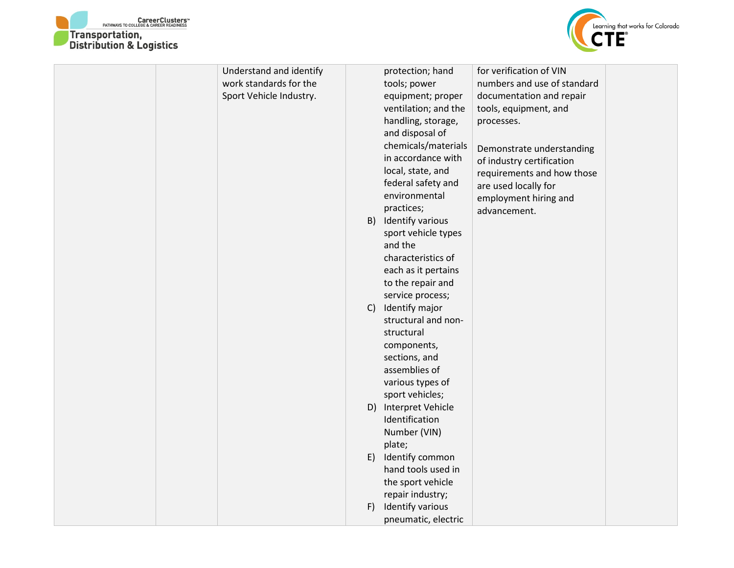



| Understand and identify |    | protection; hand     | for verification of VIN     |  |
|-------------------------|----|----------------------|-----------------------------|--|
| work standards for the  |    | tools; power         | numbers and use of standard |  |
| Sport Vehicle Industry. |    | equipment; proper    | documentation and repair    |  |
|                         |    | ventilation; and the | tools, equipment, and       |  |
|                         |    | handling, storage,   | processes.                  |  |
|                         |    | and disposal of      |                             |  |
|                         |    | chemicals/materials  | Demonstrate understanding   |  |
|                         |    | in accordance with   | of industry certification   |  |
|                         |    | local, state, and    | requirements and how those  |  |
|                         |    | federal safety and   | are used locally for        |  |
|                         |    | environmental        | employment hiring and       |  |
|                         |    | practices;           | advancement.                |  |
|                         | B) | Identify various     |                             |  |
|                         |    | sport vehicle types  |                             |  |
|                         |    | and the              |                             |  |
|                         |    | characteristics of   |                             |  |
|                         |    | each as it pertains  |                             |  |
|                         |    | to the repair and    |                             |  |
|                         |    | service process;     |                             |  |
|                         | C  | Identify major       |                             |  |
|                         |    | structural and non-  |                             |  |
|                         |    | structural           |                             |  |
|                         |    | components,          |                             |  |
|                         |    | sections, and        |                             |  |
|                         |    | assemblies of        |                             |  |
|                         |    | various types of     |                             |  |
|                         |    | sport vehicles;      |                             |  |
|                         |    | D) Interpret Vehicle |                             |  |
|                         |    | Identification       |                             |  |
|                         |    | Number (VIN)         |                             |  |
|                         |    | plate;               |                             |  |
|                         | E) | Identify common      |                             |  |
|                         |    | hand tools used in   |                             |  |
|                         |    | the sport vehicle    |                             |  |
|                         |    | repair industry;     |                             |  |
|                         | F) | Identify various     |                             |  |
|                         |    | pneumatic, electric  |                             |  |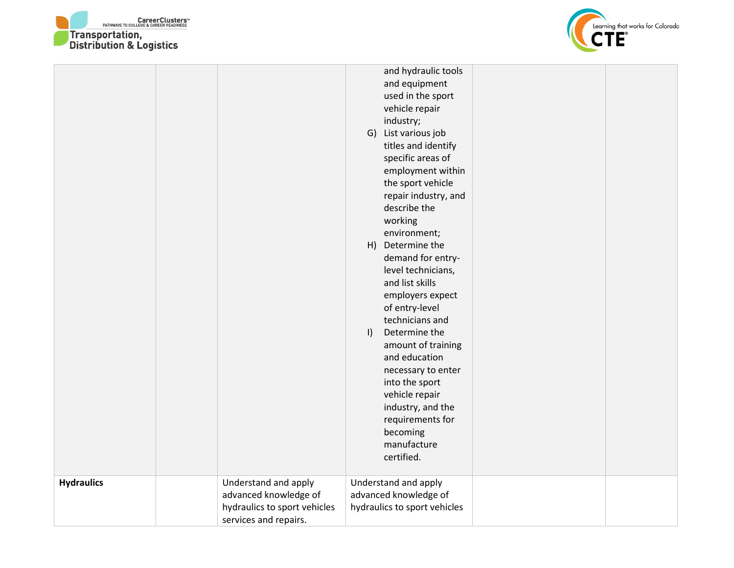



|                   |                                                                                                        | and hydraulic tools<br>and equipment<br>used in the sport<br>vehicle repair<br>industry;<br>G) List various job<br>titles and identify<br>specific areas of<br>employment within<br>the sport vehicle<br>repair industry, and<br>describe the<br>working<br>environment;<br>H) Determine the<br>demand for entry-<br>level technicians,<br>and list skills<br>employers expect<br>of entry-level<br>technicians and<br>Determine the<br>$\vert$<br>amount of training<br>and education<br>necessary to enter<br>into the sport<br>vehicle repair<br>industry, and the<br>requirements for<br>becoming<br>manufacture<br>certified. |  |
|-------------------|--------------------------------------------------------------------------------------------------------|------------------------------------------------------------------------------------------------------------------------------------------------------------------------------------------------------------------------------------------------------------------------------------------------------------------------------------------------------------------------------------------------------------------------------------------------------------------------------------------------------------------------------------------------------------------------------------------------------------------------------------|--|
| <b>Hydraulics</b> | Understand and apply<br>advanced knowledge of<br>hydraulics to sport vehicles<br>services and repairs. | Understand and apply<br>advanced knowledge of<br>hydraulics to sport vehicles                                                                                                                                                                                                                                                                                                                                                                                                                                                                                                                                                      |  |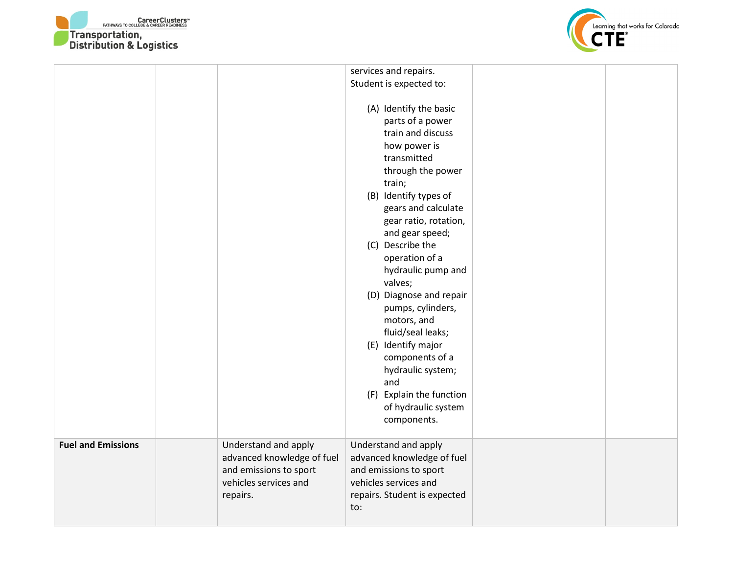



| Student is expected to:<br>(A) Identify the basic<br>parts of a power<br>train and discuss<br>how power is<br>transmitted<br>through the power                                                                                                                                                                                                                                        |  |
|---------------------------------------------------------------------------------------------------------------------------------------------------------------------------------------------------------------------------------------------------------------------------------------------------------------------------------------------------------------------------------------|--|
|                                                                                                                                                                                                                                                                                                                                                                                       |  |
| train;<br>(B) Identify types of<br>gears and calculate<br>gear ratio, rotation,<br>and gear speed;<br>(C) Describe the<br>operation of a<br>hydraulic pump and<br>valves;<br>(D) Diagnose and repair<br>pumps, cylinders,<br>motors, and<br>fluid/seal leaks;<br>(E) Identify major<br>components of a<br>hydraulic system;<br>and<br>(F) Explain the function<br>of hydraulic system |  |
| components.                                                                                                                                                                                                                                                                                                                                                                           |  |
| <b>Fuel and Emissions</b><br>Understand and apply<br>Understand and apply<br>advanced knowledge of fuel<br>advanced knowledge of fuel<br>and emissions to sport<br>and emissions to sport<br>vehicles services and<br>vehicles services and<br>repairs.<br>repairs. Student is expected<br>to:                                                                                        |  |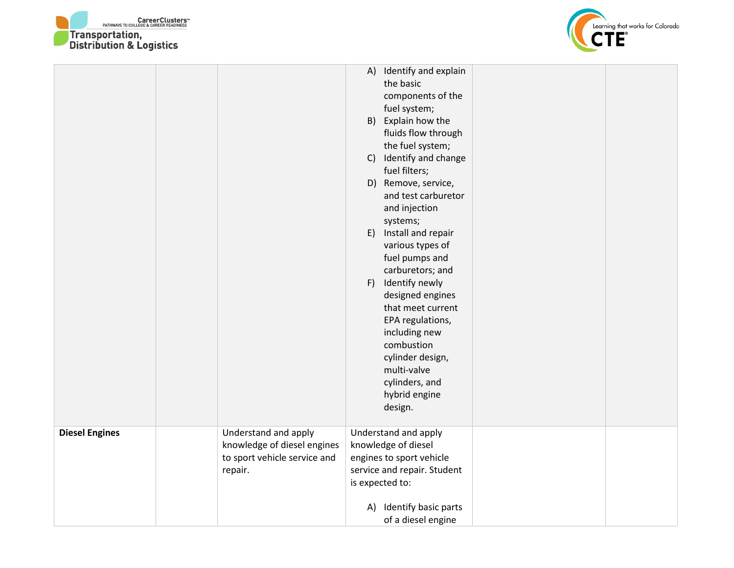



|                       |                                                                                                | C)<br>E)<br>F) | A) Identify and explain<br>the basic<br>components of the<br>fuel system;<br>B) Explain how the<br>fluids flow through<br>the fuel system;<br>Identify and change<br>fuel filters;<br>D) Remove, service,<br>and test carburetor<br>and injection<br>systems;<br>Install and repair<br>various types of<br>fuel pumps and<br>carburetors; and<br>Identify newly<br>designed engines<br>that meet current<br>EPA regulations,<br>including new<br>combustion<br>cylinder design, |  |
|-----------------------|------------------------------------------------------------------------------------------------|----------------|---------------------------------------------------------------------------------------------------------------------------------------------------------------------------------------------------------------------------------------------------------------------------------------------------------------------------------------------------------------------------------------------------------------------------------------------------------------------------------|--|
|                       |                                                                                                |                | multi-valve<br>cylinders, and<br>hybrid engine<br>design.                                                                                                                                                                                                                                                                                                                                                                                                                       |  |
| <b>Diesel Engines</b> | Understand and apply<br>knowledge of diesel engines<br>to sport vehicle service and<br>repair. | A)             | Understand and apply<br>knowledge of diesel<br>engines to sport vehicle<br>service and repair. Student<br>is expected to:<br>Identify basic parts<br>of a diesel engine                                                                                                                                                                                                                                                                                                         |  |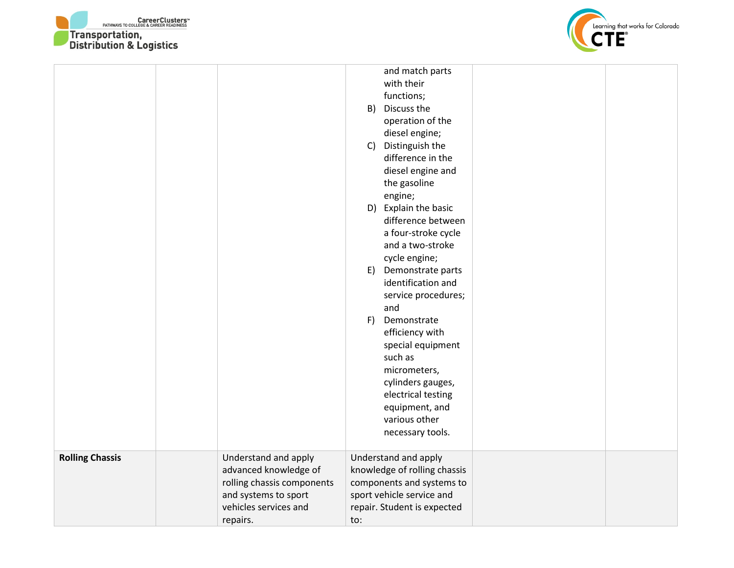



|                        |                            |     | and match parts              |  |
|------------------------|----------------------------|-----|------------------------------|--|
|                        |                            |     | with their                   |  |
|                        |                            |     | functions;                   |  |
|                        |                            | B)  | Discuss the                  |  |
|                        |                            |     | operation of the             |  |
|                        |                            |     | diesel engine;               |  |
|                        |                            | C)  | Distinguish the              |  |
|                        |                            |     | difference in the            |  |
|                        |                            |     | diesel engine and            |  |
|                        |                            |     | the gasoline                 |  |
|                        |                            |     | engine;                      |  |
|                        |                            |     | D) Explain the basic         |  |
|                        |                            |     | difference between           |  |
|                        |                            |     | a four-stroke cycle          |  |
|                        |                            |     | and a two-stroke             |  |
|                        |                            |     | cycle engine;                |  |
|                        |                            | E)  | Demonstrate parts            |  |
|                        |                            |     | identification and           |  |
|                        |                            |     | service procedures;          |  |
|                        |                            |     | and                          |  |
|                        |                            | F)  | Demonstrate                  |  |
|                        |                            |     | efficiency with              |  |
|                        |                            |     | special equipment            |  |
|                        |                            |     | such as                      |  |
|                        |                            |     | micrometers,                 |  |
|                        |                            |     | cylinders gauges,            |  |
|                        |                            |     | electrical testing           |  |
|                        |                            |     | equipment, and               |  |
|                        |                            |     | various other                |  |
|                        |                            |     | necessary tools.             |  |
|                        |                            |     |                              |  |
| <b>Rolling Chassis</b> | Understand and apply       |     | Understand and apply         |  |
|                        | advanced knowledge of      |     | knowledge of rolling chassis |  |
|                        | rolling chassis components |     | components and systems to    |  |
|                        | and systems to sport       |     | sport vehicle service and    |  |
|                        | vehicles services and      |     | repair. Student is expected  |  |
|                        | repairs.                   | to: |                              |  |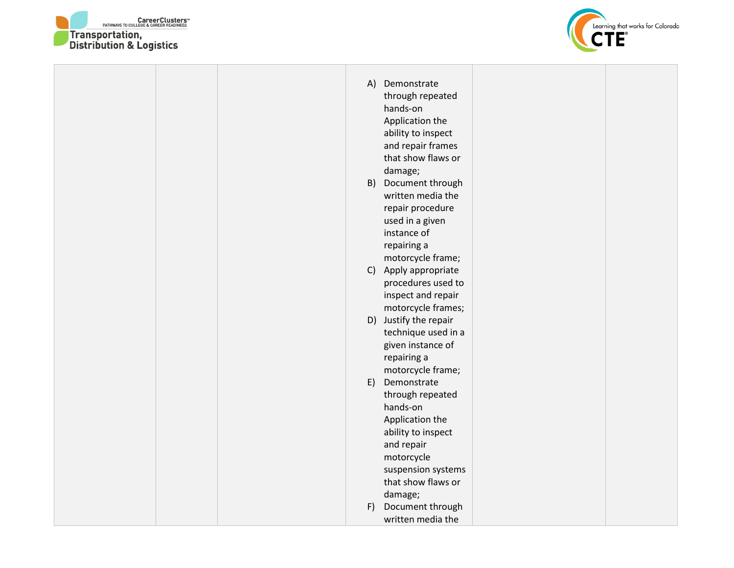



⊤

|    | A) Demonstrate        |  |  |
|----|-----------------------|--|--|
|    | through repeated      |  |  |
|    | hands-on              |  |  |
|    | Application the       |  |  |
|    | ability to inspect    |  |  |
|    | and repair frames     |  |  |
|    | that show flaws or    |  |  |
|    | damage;               |  |  |
| B) | Document through      |  |  |
|    | written media the     |  |  |
|    | repair procedure      |  |  |
|    | used in a given       |  |  |
|    | instance of           |  |  |
|    | repairing a           |  |  |
|    | motorcycle frame;     |  |  |
|    | C) Apply appropriate  |  |  |
|    | procedures used to    |  |  |
|    | inspect and repair    |  |  |
|    | motorcycle frames;    |  |  |
|    | D) Justify the repair |  |  |
|    | technique used in a   |  |  |
|    | given instance of     |  |  |
|    | repairing a           |  |  |
|    | motorcycle frame;     |  |  |
| E) | Demonstrate           |  |  |
|    | through repeated      |  |  |
|    | hands-on              |  |  |
|    | Application the       |  |  |
|    | ability to inspect    |  |  |
|    | and repair            |  |  |
|    | motorcycle            |  |  |
|    | suspension systems    |  |  |
|    | that show flaws or    |  |  |
|    | damage;               |  |  |
| F) | Document through      |  |  |
|    | written media the     |  |  |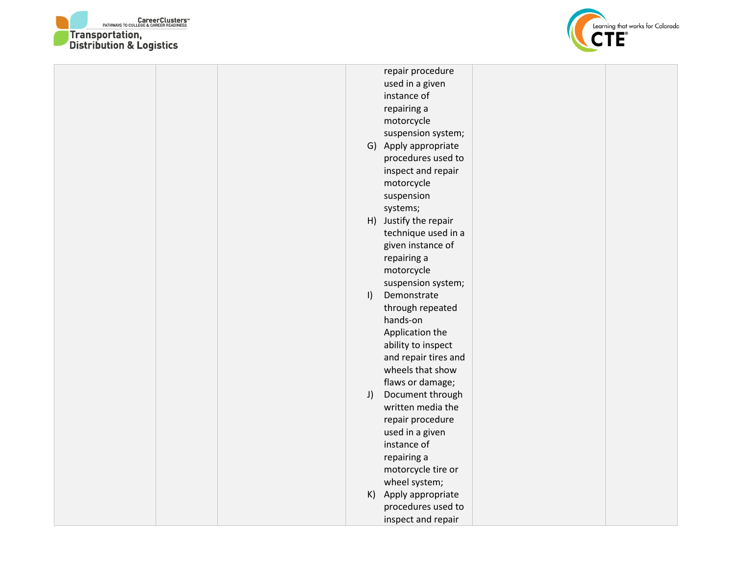



|         | repair procedure      |  |
|---------|-----------------------|--|
|         | used in a given       |  |
|         | instance of           |  |
|         | repairing a           |  |
|         | motorcycle            |  |
|         | suspension system;    |  |
|         | G) Apply appropriate  |  |
|         | procedures used to    |  |
|         | inspect and repair    |  |
|         | motorcycle            |  |
|         | suspension            |  |
|         | systems;              |  |
|         | H) Justify the repair |  |
|         | technique used in a   |  |
|         | given instance of     |  |
|         | repairing a           |  |
|         | motorcycle            |  |
|         | suspension system;    |  |
| $\vert$ | Demonstrate           |  |
|         | through repeated      |  |
|         | hands-on              |  |
|         | Application the       |  |
|         | ability to inspect    |  |
|         | and repair tires and  |  |
|         | wheels that show      |  |
|         | flaws or damage;      |  |
| J)      | Document through      |  |
|         | written media the     |  |
|         | repair procedure      |  |
|         | used in a given       |  |
|         | instance of           |  |
|         | repairing a           |  |
|         | motorcycle tire or    |  |
|         | wheel system;         |  |
|         | K) Apply appropriate  |  |
|         | procedures used to    |  |
|         | inspect and repair    |  |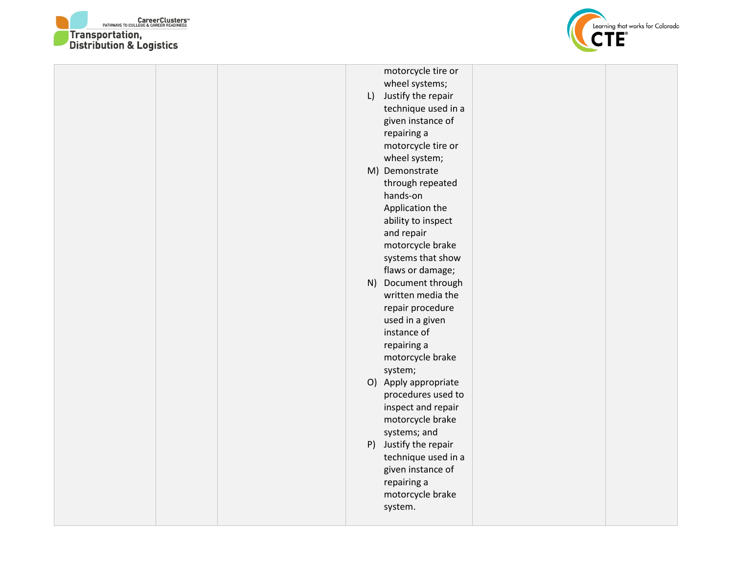



|  |  | motorcycle tire or    |  |
|--|--|-----------------------|--|
|  |  | wheel systems;        |  |
|  |  | L) Justify the repair |  |
|  |  | technique used in a   |  |
|  |  | given instance of     |  |
|  |  | repairing a           |  |
|  |  | motorcycle tire or    |  |
|  |  | wheel system;         |  |
|  |  | M) Demonstrate        |  |
|  |  | through repeated      |  |
|  |  | hands-on              |  |
|  |  | Application the       |  |
|  |  | ability to inspect    |  |
|  |  | and repair            |  |
|  |  | motorcycle brake      |  |
|  |  | systems that show     |  |
|  |  | flaws or damage;      |  |
|  |  | N) Document through   |  |
|  |  | written media the     |  |
|  |  | repair procedure      |  |
|  |  | used in a given       |  |
|  |  | instance of           |  |
|  |  | repairing a           |  |
|  |  | motorcycle brake      |  |
|  |  | system;               |  |
|  |  | O) Apply appropriate  |  |
|  |  | procedures used to    |  |
|  |  | inspect and repair    |  |
|  |  | motorcycle brake      |  |
|  |  | systems; and          |  |
|  |  | P) Justify the repair |  |
|  |  | technique used in a   |  |
|  |  | given instance of     |  |
|  |  | repairing a           |  |
|  |  | motorcycle brake      |  |
|  |  | system.               |  |
|  |  |                       |  |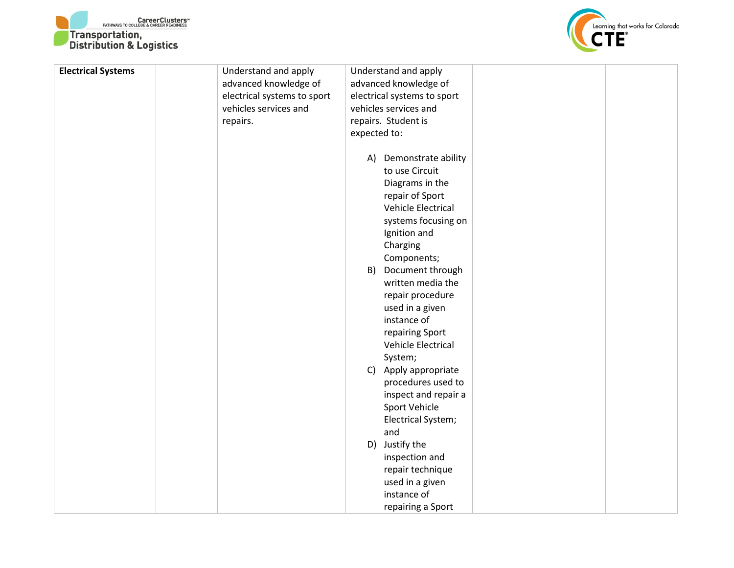



| <b>Electrical Systems</b> | Understand and apply        |              | Understand and apply        |  |
|---------------------------|-----------------------------|--------------|-----------------------------|--|
|                           | advanced knowledge of       |              | advanced knowledge of       |  |
|                           | electrical systems to sport |              | electrical systems to sport |  |
|                           | vehicles services and       |              | vehicles services and       |  |
|                           | repairs.                    |              | repairs. Student is         |  |
|                           |                             | expected to: |                             |  |
|                           |                             |              |                             |  |
|                           |                             | A)           | Demonstrate ability         |  |
|                           |                             |              | to use Circuit              |  |
|                           |                             |              | Diagrams in the             |  |
|                           |                             |              | repair of Sport             |  |
|                           |                             |              | Vehicle Electrical          |  |
|                           |                             |              | systems focusing on         |  |
|                           |                             |              | Ignition and                |  |
|                           |                             |              | Charging                    |  |
|                           |                             |              | Components;                 |  |
|                           |                             | B)           | Document through            |  |
|                           |                             |              | written media the           |  |
|                           |                             |              | repair procedure            |  |
|                           |                             |              | used in a given             |  |
|                           |                             |              | instance of                 |  |
|                           |                             |              | repairing Sport             |  |
|                           |                             |              | Vehicle Electrical          |  |
|                           |                             |              | System;                     |  |
|                           |                             |              | C) Apply appropriate        |  |
|                           |                             |              | procedures used to          |  |
|                           |                             |              | inspect and repair a        |  |
|                           |                             |              | Sport Vehicle               |  |
|                           |                             |              | Electrical System;          |  |
|                           |                             |              | and                         |  |
|                           |                             |              | D) Justify the              |  |
|                           |                             |              | inspection and              |  |
|                           |                             |              | repair technique            |  |
|                           |                             |              | used in a given             |  |
|                           |                             |              | instance of                 |  |
|                           |                             |              | repairing a Sport           |  |
|                           |                             |              |                             |  |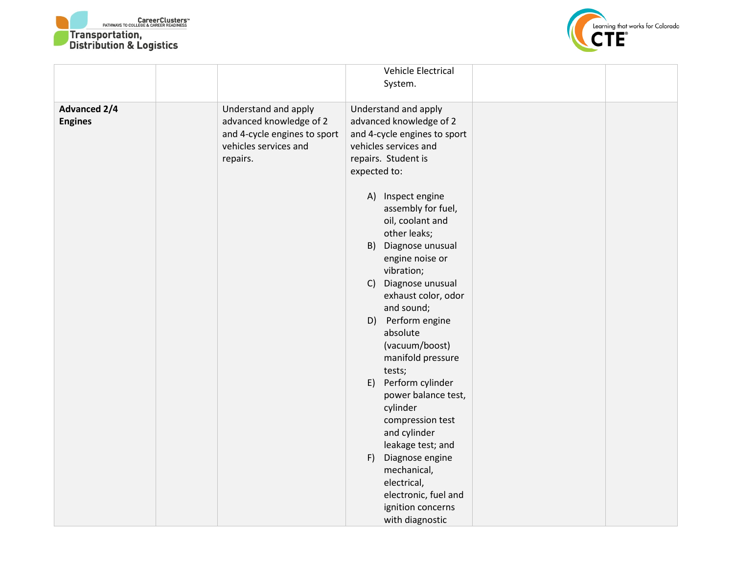



|                                       |                                                                                                                      | Vehicle Electrical<br>System.                                                                                                                                                                                                                                                                                                                                                                                                                                                                                                                                                                               |  |
|---------------------------------------|----------------------------------------------------------------------------------------------------------------------|-------------------------------------------------------------------------------------------------------------------------------------------------------------------------------------------------------------------------------------------------------------------------------------------------------------------------------------------------------------------------------------------------------------------------------------------------------------------------------------------------------------------------------------------------------------------------------------------------------------|--|
| <b>Advanced 2/4</b><br><b>Engines</b> | Understand and apply<br>advanced knowledge of 2<br>and 4-cycle engines to sport<br>vehicles services and<br>repairs. | Understand and apply<br>advanced knowledge of 2<br>and 4-cycle engines to sport<br>vehicles services and<br>repairs. Student is<br>expected to:<br>A) Inspect engine<br>assembly for fuel,<br>oil, coolant and<br>other leaks;<br>B) Diagnose unusual<br>engine noise or<br>vibration;<br>C) Diagnose unusual<br>exhaust color, odor<br>and sound;<br>D) Perform engine<br>absolute<br>(vacuum/boost)<br>manifold pressure<br>tests;<br>E) Perform cylinder<br>power balance test,<br>cylinder<br>compression test<br>and cylinder<br>leakage test; and<br>F) Diagnose engine<br>mechanical,<br>electrical, |  |
|                                       |                                                                                                                      | electronic, fuel and<br>ignition concerns<br>with diagnostic                                                                                                                                                                                                                                                                                                                                                                                                                                                                                                                                                |  |